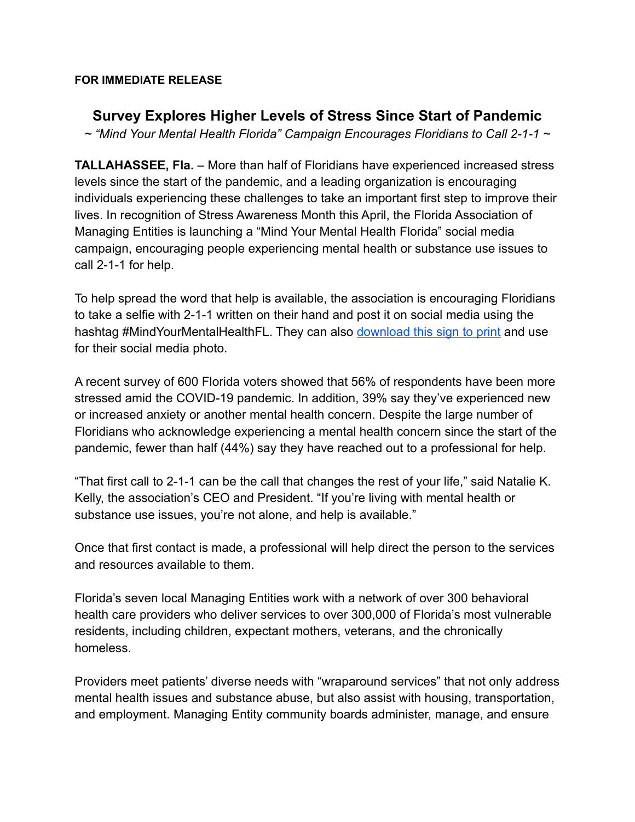## **FOR IMMEDIATE RELEASE**

## **Survey Explores Higher Levels of Stress Since Start of Pandemic**

*~ "Mind Your Mental Health Florida" Campaign Encourages Floridians to Call 2-1-1 ~*

**TALLAHASSEE, Fla.** – More than half of Floridians have experienced increased stress levels since the start of the pandemic, and a leading organization is encouraging individuals experiencing these challenges to take an important first step to improve their lives. In recognition of Stress Awareness Month this April, the Florida Association of Managing Entities is launching a "Mind Your Mental Health Florida" social media campaign, encouraging people experiencing mental health or substance use issues to call 2-1-1 for help.

To help spread the word that help is available, the association is encouraging Floridians to take a selfie with 2-1-1 written on their hand and post it on social media using the hashtag #MindYourMentalHealthFL. They can also [download this sign to print](https://slack-files.com/T03HL37FL-F01T41BBQE5-0e4dc4b80d) and use for their social media photo.

A recent survey of 600 Florida voters showed that 56% of respondents have been more stressed amid the COVID-19 pandemic. In addition, 39% say they've experienced new or increased anxiety or another mental health concern. Despite the large number of Floridians who acknowledge experiencing a mental health concern since the start of the pandemic, fewer than half (44%) say they have reached out to a professional for help.

"That first call to 2-1-1 can be the call that changes the rest of your life," said Natalie K. Kelly, the association's CEO and President. "If you're living with mental health or substance use issues, you're not alone, and help is available."

Once that first contact is made, a professional will help direct the person to the services and resources available to them.

Florida's seven local Managing Entities work with a network of over 300 behavioral health care providers who deliver services to over 300,000 of Florida's most vulnerable residents, including children, expectant mothers, veterans, and the chronically homeless.

Providers meet patients' diverse needs with "wraparound services" that not only address mental health issues and substance abuse, but also assist with housing, transportation, and employment. Managing Entity community boards administer, manage, and ensure